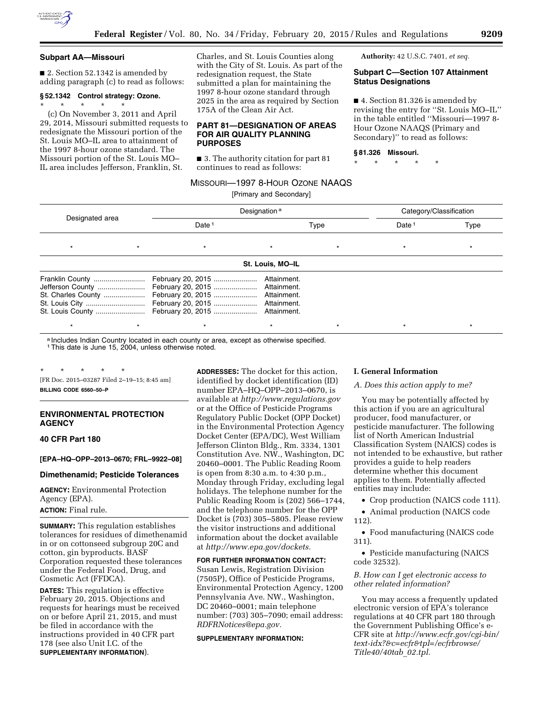

#### **Subpart AA—Missouri**

■ 2. Section 52.1342 is amended by adding paragraph (c) to read as follows:

# **§ 52.1342 Control strategy: Ozone.**

\* \* \* \* \* (c) On November 3, 2011 and April 29, 2014, Missouri submitted requests to redesignate the Missouri portion of the St. Louis MO–IL area to attainment of the 1997 8-hour ozone standard. The Missouri portion of the St. Louis MO– IL area includes Jefferson, Franklin, St.

Charles, and St. Louis Counties along with the City of St. Louis. As part of the redesignation request, the State submitted a plan for maintaining the 1997 8-hour ozone standard through 2025 in the area as required by Section 175A of the Clean Air Act.

## **PART 81—DESIGNATION OF AREAS FOR AIR QUALITY PLANNING PURPOSES**

■ 3. The authority citation for part 81 continues to read as follows:

**Authority:** 42 U.S.C. 7401, *et seq.* 

## **Subpart C—Section 107 Attainment Status Designations**

■ 4. Section 81.326 is amended by revising the entry for ''St. Louis MO–IL'' in the table entitled ''Missouri—1997 8- Hour Ozone NAAQS (Primary and Secondary)'' to read as follows:

#### **§ 81.326 Missouri.**

\* \* \* \* \*

# MISSOURI—1997 8-HOUR OZONE NAAQS

[Primary and Secondary]

| Designated area                                                             |         | Designation <sup>a</sup>                                                                                   | Category/Classification    |      |  |         |
|-----------------------------------------------------------------------------|---------|------------------------------------------------------------------------------------------------------------|----------------------------|------|--|---------|
|                                                                             |         | Date <sup>1</sup>                                                                                          |                            | Type |  | Type    |
|                                                                             | $\star$ | $^\star$                                                                                                   | $\star$                    |      |  |         |
|                                                                             |         |                                                                                                            | St. Louis, MO-IL           |      |  |         |
| Franklin County<br>Jefferson County<br>St. Charles County<br>St. Louis City |         | February 20, 2015<br>February 20, 2015  Attainment.<br>February 20, 2015<br>February 20, 2015  Attainment. | Attainment.<br>Attainment. |      |  |         |
| $\star$                                                                     |         | $^\star$                                                                                                   | $\star$                    |      |  | $\star$ |

a Includes Indian Country located in each county or area, except as otherwise specified.

1This date is June 15, 2004, unless otherwise noted.

\* \* \* \* \* [FR Doc. 2015–03287 Filed 2–19–15; 8:45 am] **BILLING CODE 6560–50–P** 

# **ENVIRONMENTAL PROTECTION AGENCY**

**40 CFR Part 180** 

### **[EPA–HQ–OPP–2013–0670; FRL–9922–08]**

#### **Dimethenamid; Pesticide Tolerances**

**AGENCY:** Environmental Protection Agency (EPA).

**ACTION:** Final rule.

**SUMMARY:** This regulation establishes tolerances for residues of dimethenamid in or on cottonseed subgroup 20C and cotton, gin byproducts. BASF Corporation requested these tolerances under the Federal Food, Drug, and Cosmetic Act (FFDCA).

**DATES:** This regulation is effective February 20, 2015. Objections and requests for hearings must be received on or before April 21, 2015, and must be filed in accordance with the instructions provided in 40 CFR part 178 (see also Unit I.C. of the **SUPPLEMENTARY INFORMATION**).

**ADDRESSES:** The docket for this action, identified by docket identification (ID) number EPA–HQ–OPP–2013–0670, is available at *<http://www.regulations.gov>* or at the Office of Pesticide Programs Regulatory Public Docket (OPP Docket) in the Environmental Protection Agency Docket Center (EPA/DC), West William Jefferson Clinton Bldg., Rm. 3334, 1301 Constitution Ave. NW., Washington, DC 20460–0001. The Public Reading Room is open from 8:30 a.m. to 4:30 p.m., Monday through Friday, excluding legal holidays. The telephone number for the Public Reading Room is (202) 566–1744, and the telephone number for the OPP Docket is (703) 305–5805. Please review the visitor instructions and additional information about the docket available at *[http://www.epa.gov/dockets.](http://www.epa.gov/dockets)* 

**FOR FURTHER INFORMATION CONTACT:** 

Susan Lewis, Registration Division (7505P), Office of Pesticide Programs, Environmental Protection Agency, 1200 Pennsylvania Ave. NW., Washington, DC 20460–0001; main telephone number: (703) 305–7090; email address: *[RDFRNotices@epa.gov.](mailto:RDFRNotices@epa.gov)* 

## **SUPPLEMENTARY INFORMATION:**

#### **I. General Information**

#### *A. Does this action apply to me?*

You may be potentially affected by this action if you are an agricultural producer, food manufacturer, or pesticide manufacturer. The following list of North American Industrial Classification System (NAICS) codes is not intended to be exhaustive, but rather provides a guide to help readers determine whether this document applies to them. Potentially affected entities may include:

• Crop production (NAICS code 111).

• Animal production (NAICS code 112).

• Food manufacturing (NAICS code 311).

• Pesticide manufacturing (NAICS code 32532).

*B. How can I get electronic access to other related information?* 

You may access a frequently updated electronic version of EPA's tolerance regulations at 40 CFR part 180 through the Government Publishing Office's e-CFR site at *[http://www.ecfr.gov/cgi-bin/](http://www.ecfr.gov/cgi-bin/text-idx?&c=ecfr&tpl=/ecfrbrowse/Title40/40tab_02.tpl)  [text-idx?&c=ecfr&tpl=/ecfrbrowse/](http://www.ecfr.gov/cgi-bin/text-idx?&c=ecfr&tpl=/ecfrbrowse/Title40/40tab_02.tpl) [Title40/40tab](http://www.ecfr.gov/cgi-bin/text-idx?&c=ecfr&tpl=/ecfrbrowse/Title40/40tab_02.tpl)*\_*02.tpl.*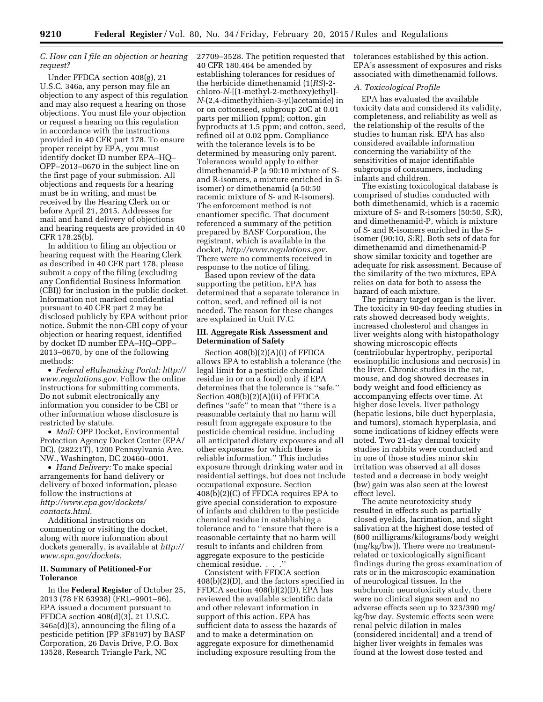# *C. How can I file an objection or hearing request?*

Under FFDCA section 408(g), 21 U.S.C. 346a, any person may file an objection to any aspect of this regulation and may also request a hearing on those objections. You must file your objection or request a hearing on this regulation in accordance with the instructions provided in 40 CFR part 178. To ensure proper receipt by EPA, you must identify docket ID number EPA–HQ– OPP–2013–0670 in the subject line on the first page of your submission. All objections and requests for a hearing must be in writing, and must be received by the Hearing Clerk on or before April 21, 2015. Addresses for mail and hand delivery of objections and hearing requests are provided in 40 CFR 178.25(b).

In addition to filing an objection or hearing request with the Hearing Clerk as described in 40 CFR part 178, please submit a copy of the filing (excluding any Confidential Business Information (CBI)) for inclusion in the public docket. Information not marked confidential pursuant to 40 CFR part 2 may be disclosed publicly by EPA without prior notice. Submit the non-CBI copy of your objection or hearing request, identified by docket ID number EPA–HQ–OPP– 2013–0670, by one of the following methods:

• *Federal eRulemaking Portal: [http://](http://www.regulations.gov)  [www.regulations.gov.](http://www.regulations.gov)* Follow the online instructions for submitting comments. Do not submit electronically any information you consider to be CBI or other information whose disclosure is restricted by statute.

• *Mail:* OPP Docket, Environmental Protection Agency Docket Center (EPA/ DC), (28221T), 1200 Pennsylvania Ave. NW., Washington, DC 20460–0001.

• *Hand Delivery:* To make special arrangements for hand delivery or delivery of boxed information, please follow the instructions at *[http://www.epa.gov/dockets/](http://www.epa.gov/dockets/contacts.html) [contacts.html.](http://www.epa.gov/dockets/contacts.html)* 

Additional instructions on commenting or visiting the docket, along with more information about dockets generally, is available at *[http://](http://www.epa.gov/dockets) [www.epa.gov/dockets.](http://www.epa.gov/dockets)* 

## **II. Summary of Petitioned-For Tolerance**

In the **Federal Register** of October 25, 2013 (78 FR 63938) (FRL–9901–96), EPA issued a document pursuant to FFDCA section 408(d)(3), 21 U.S.C. 346a(d)(3), announcing the filing of a pesticide petition (PP 3F8197) by BASF Corporation, 26 Davis Drive, P.O. Box 13528, Research Triangle Park, NC

27709–3528. The petition requested that 40 CFR 180.464 be amended by establishing tolerances for residues of the herbicide dimethenamid (1(*RS*)-2 chloro-*N*-[(1-methyl-2-methoxy)ethyl]- *N*-(2,4-dimethylthien-3-yl)acetamide) in or on cottonseed, subgroup 20C at 0.01 parts per million (ppm); cotton, gin byproducts at 1.5 ppm; and cotton, seed, refined oil at 0.02 ppm. Compliance with the tolerance levels is to be determined by measuring only parent. Tolerances would apply to either dimethenamid-P (a 90:10 mixture of Sand R-isomers, a mixture enriched in Sisomer) or dimethenamid (a 50:50 racemic mixture of S- and R-isomers). The enforcement method is not enantiomer specific. That document referenced a summary of the petition prepared by BASF Corporation, the registrant, which is available in the docket, *[http://www.regulations.gov.](http://www.regulations.gov)*  There were no comments received in response to the notice of filing.

Based upon review of the data supporting the petition, EPA has determined that a separate tolerance in cotton, seed, and refined oil is not needed. The reason for these changes are explained in Unit IV.C.

#### **III. Aggregate Risk Assessment and Determination of Safety**

Section 408(b)(2)(A)(i) of FFDCA allows EPA to establish a tolerance (the legal limit for a pesticide chemical residue in or on a food) only if EPA determines that the tolerance is ''safe.'' Section 408(b)(2)(A)(ii) of FFDCA defines ''safe'' to mean that ''there is a reasonable certainty that no harm will result from aggregate exposure to the pesticide chemical residue, including all anticipated dietary exposures and all other exposures for which there is reliable information.'' This includes exposure through drinking water and in residential settings, but does not include occupational exposure. Section 408(b)(2)(C) of FFDCA requires EPA to give special consideration to exposure of infants and children to the pesticide chemical residue in establishing a tolerance and to ''ensure that there is a reasonable certainty that no harm will result to infants and children from aggregate exposure to the pesticide chemical residue. . . .''

Consistent with FFDCA section 408(b)(2)(D), and the factors specified in FFDCA section 408(b)(2)(D), EPA has reviewed the available scientific data and other relevant information in support of this action. EPA has sufficient data to assess the hazards of and to make a determination on aggregate exposure for dimethenamid including exposure resulting from the

tolerances established by this action. EPA's assessment of exposures and risks associated with dimethenamid follows.

# *A. Toxicological Profile*

EPA has evaluated the available toxicity data and considered its validity, completeness, and reliability as well as the relationship of the results of the studies to human risk. EPA has also considered available information concerning the variability of the sensitivities of major identifiable subgroups of consumers, including infants and children.

The existing toxicological database is comprised of studies conducted with both dimethenamid, which is a racemic mixture of S- and R-isomers (50:50, S:R), and dimethenamid-P, which is mixture of S- and R-isomers enriched in the Sisomer (90:10, S:R). Both sets of data for dimethenamid and dimethenamid-P show similar toxicity and together are adequate for risk assessment. Because of the similarity of the two mixtures, EPA relies on data for both to assess the hazard of each mixture.

The primary target organ is the liver. The toxicity in 90-day feeding studies in rats showed decreased body weights, increased cholesterol and changes in liver weights along with histopathology showing microscopic effects (centrilobular hypertrophy, periportal eosinophilic inclusions and necrosis) in the liver. Chronic studies in the rat, mouse, and dog showed decreases in body weight and food efficiency as accompanying effects over time. At higher dose levels, liver pathology (hepatic lesions, bile duct hyperplasia, and tumors), stomach hyperplasia, and some indications of kidney effects were noted. Two 21-day dermal toxicity studies in rabbits were conducted and in one of those studies minor skin irritation was observed at all doses tested and a decrease in body weight (bw) gain was also seen at the lowest effect level.

The acute neurotoxicity study resulted in effects such as partially closed eyelids, lacrimation, and slight salivation at the highest dose tested of (600 milligrams/kilograms/body weight (mg/kg/bw)). There were no treatmentrelated or toxicologically significant findings during the gross examination of rats or in the microscopic examination of neurological tissues. In the subchronic neurotoxicity study, there were no clinical signs seen and no adverse effects seen up to 323/390 mg/ kg/bw day. Systemic effects seen were renal pelvic dilation in males (considered incidental) and a trend of higher liver weights in females was found at the lowest dose tested and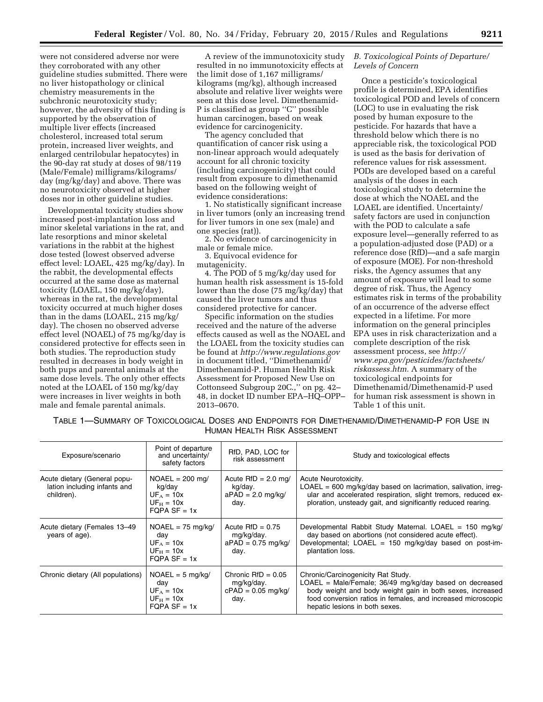were not considered adverse nor were they corroborated with any other guideline studies submitted. There were no liver histopathology or clinical chemistry measurements in the subchronic neurotoxicity study; however, the adversity of this finding is supported by the observation of multiple liver effects (increased cholesterol, increased total serum protein, increased liver weights, and enlarged centrilobular hepatocytes) in the 90-day rat study at doses of 98/119 (Male/Female) milligrams/kilograms/ day (mg/kg/day) and above. There was no neurotoxicity observed at higher doses nor in other guideline studies.

Developmental toxicity studies show increased post-implantation loss and minor skeletal variations in the rat, and late resorptions and minor skeletal variations in the rabbit at the highest dose tested (lowest observed adverse effect level: LOAEL, 425 mg/kg/day). In the rabbit, the developmental effects occurred at the same dose as maternal toxicity (LOAEL, 150 mg/kg/day), whereas in the rat, the developmental toxicity occurred at much higher doses than in the dams (LOAEL, 215 mg/kg/ day). The chosen no observed adverse effect level (NOAEL) of 75 mg/kg/day is considered protective for effects seen in both studies. The reproduction study resulted in decreases in body weight in both pups and parental animals at the same dose levels. The only other effects noted at the LOAEL of 150 mg/kg/day were increases in liver weights in both male and female parental animals.

A review of the immunotoxicity study resulted in no immunotoxicity effects at the limit dose of 1,167 milligrams/ kilograms (mg/kg), although increased absolute and relative liver weights were seen at this dose level. Dimethenamid-P is classified as group ''C'' possible human carcinogen, based on weak evidence for carcinogenicity.

The agency concluded that quantification of cancer risk using a non-linear approach would adequately account for all chronic toxicity (including carcinogenicity) that could result from exposure to dimethenamid based on the following weight of evidence considerations:

1. No statistically significant increase in liver tumors (only an increasing trend for liver tumors in one sex (male) and one species (rat)).

2. No evidence of carcinogenicity in male or female mice.

3. Equivocal evidence for mutagenicity.

4. The POD of 5 mg/kg/day used for human health risk assessment is 15-fold lower than the dose (75 mg/kg/day) that caused the liver tumors and thus considered protective for cancer.

Specific information on the studies received and the nature of the adverse effects caused as well as the NOAEL and the LOAEL from the toxicity studies can be found at *<http://www.regulations.gov>*  in document titled, ''Dimethenamid/ Dimethenamid-P. Human Health Risk Assessment for Proposed New Use on Cottonseed Subgroup 20C.,'' on pg. 42– 48, in docket ID number EPA–HQ–OPP– 2013–0670.

## *B. Toxicological Points of Departure/ Levels of Concern*

Once a pesticide's toxicological profile is determined, EPA identifies toxicological POD and levels of concern (LOC) to use in evaluating the risk posed by human exposure to the pesticide. For hazards that have a threshold below which there is no appreciable risk, the toxicological POD is used as the basis for derivation of reference values for risk assessment. PODs are developed based on a careful analysis of the doses in each toxicological study to determine the dose at which the NOAEL and the LOAEL are identified. Uncertainty/ safety factors are used in conjunction with the POD to calculate a safe exposure level—generally referred to as a population-adjusted dose (PAD) or a reference dose (RfD)—and a safe margin of exposure (MOE). For non-threshold risks, the Agency assumes that any amount of exposure will lead to some degree of risk. Thus, the Agency estimates risk in terms of the probability of an occurrence of the adverse effect expected in a lifetime. For more information on the general principles EPA uses in risk characterization and a complete description of the risk assessment process, see *[http://](http://www.epa.gov/pesticides/factsheets/riskassess.htm) [www.epa.gov/pesticides/factsheets/](http://www.epa.gov/pesticides/factsheets/riskassess.htm) [riskassess.htm.](http://www.epa.gov/pesticides/factsheets/riskassess.htm)* A summary of the toxicological endpoints for Dimethenamid/Dimethenamid-P used for human risk assessment is shown in Table 1 of this unit.

TABLE 1—SUMMARY OF TOXICOLOGICAL DOSES AND ENDPOINTS FOR DIMETHENAMID/DIMETHENAMID-P FOR USE IN HUMAN HEALTH RISK ASSESSMENT

| Exposure/scenario                                                          | Point of departure<br>and uncertainty/<br>safety factors                      | RfD, PAD, LOC for<br>risk assessment                               | Study and toxicological effects                                                                                                                                                                                                                                 |
|----------------------------------------------------------------------------|-------------------------------------------------------------------------------|--------------------------------------------------------------------|-----------------------------------------------------------------------------------------------------------------------------------------------------------------------------------------------------------------------------------------------------------------|
| Acute dietary (General popu-<br>lation including infants and<br>children). | $NOAEL = 200$ mg/<br>kg/day<br>$UF_A = 10x$<br>$UF_H = 10x$<br>$FOPA SF = 1x$ | Acute $RfD = 2.0$ mg/<br>kg/day.<br>$aPAD = 2.0$ mg/kg/<br>day.    | Acute Neurotoxicity.<br>$LOAEL = 600$ mg/kg/day based on lacrimation, salivation, irreq-<br>ular and accelerated respiration, slight tremors, reduced ex-<br>ploration, unsteady gait, and significantly reduced rearing.                                       |
| Acute dietary (Females 13-49<br>years of age).                             | $NOAEL = 75$ mg/kg/<br>day<br>$UF_A = 10x$<br>$UF_H = 10x$<br>$FQPA SF = 1x$  | Acute $RfD = 0.75$<br>mg/kg/day.<br>$aPAD = 0.75$ mg/kg/<br>day.   | Developmental Rabbit Study Maternal. LOAEL = $150 \text{ mg/kg}$<br>day based on abortions (not considered acute effect).<br>Developmental; LOAEL = $150 \text{ mg/kg/day}$ based on post-im-<br>plantation loss.                                               |
| Chronic dietary (All populations)                                          | $NOAEL = 5$ mg/kg/<br>day<br>$UF_A = 10x$<br>$UF_H = 10x$<br>FOPA $SF = 1x$   | Chronic $RfD = 0.05$<br>mg/kg/day.<br>$cPAD = 0.05$ mg/kg/<br>day. | Chronic/Carcinogenicity Rat Study.<br>$LOAEL = Male/Female$ ; 36/49 mg/kg/day based on decreased<br>body weight and body weight gain in both sexes, increased<br>food conversion ratios in females, and increased microscopic<br>hepatic lesions in both sexes. |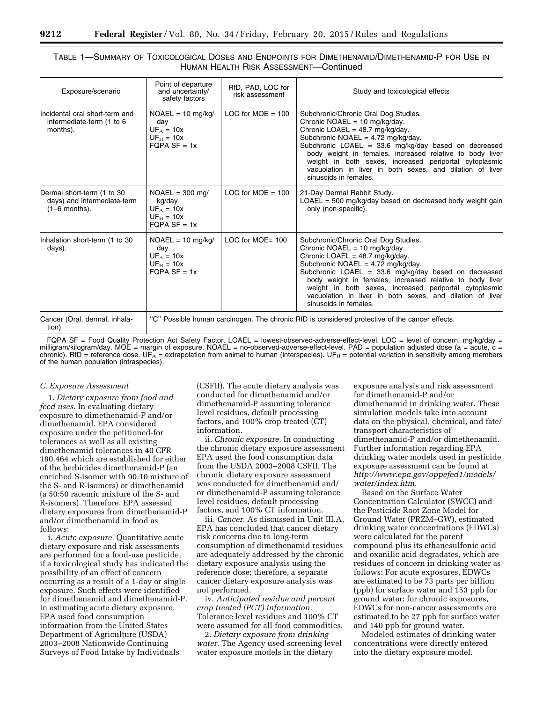# TABLE 1—SUMMARY OF TOXICOLOGICAL DOSES AND ENDPOINTS FOR DIMETHENAMID/DIMETHENAMID-P FOR USE IN HUMAN HEALTH RISK ASSESSMENT—Continued

| Exposure/scenario                                                            | Point of departure<br>and uncertainty/<br>safety factors                      | RfD, PAD, LOC for<br>risk assessment | Study and toxicological effects                                                                                                                                                                                                                                                                                                                                                                                                                       |  |
|------------------------------------------------------------------------------|-------------------------------------------------------------------------------|--------------------------------------|-------------------------------------------------------------------------------------------------------------------------------------------------------------------------------------------------------------------------------------------------------------------------------------------------------------------------------------------------------------------------------------------------------------------------------------------------------|--|
| Incidental oral short-term and<br>intermediate-term (1 to 6<br>months).      | $NOAEL = 10$ mg/kg/<br>day<br>$UF_A = 10x$<br>$UF_H = 10x$<br>$FOPA SF = 1x$  | LOC for MOE $=$ 100                  | Subchronic/Chronic Oral Dog Studies.<br>Chronic NOAEL = $10 \text{ mg/kg/day}$ .<br>Chronic LOAEL = $48.7 \text{ mg/kg/day}$ .<br>Subchronic NOAEL = $4.72 \text{ mg/kg/day}$ .<br>Subchronic LOAEL = $33.6$ mg/kg/day based on decreased<br>body weight in females, increased relative to body liver<br>weight in both sexes, increased periportal cytoplasmic<br>vacuolation in liver in both sexes, and dilation of liver<br>sinusoids in females. |  |
| Dermal short-term (1 to 30<br>days) and intermediate-term<br>$(1-6$ months). | $NOAEL = 300$ mg/<br>kg/day<br>$UF_A = 10x$<br>$UF_H = 10x$<br>$FOPA SF = 1x$ | LOC for $MOE = 100$                  | 21-Day Dermal Rabbit Study.<br>$LOAEL = 500$ mg/kg/day based on decreased body weight gain<br>only (non-specific).                                                                                                                                                                                                                                                                                                                                    |  |
| Inhalation short-term (1 to 30<br>days).                                     | $NOAEL = 10$ mg/kg/<br>day<br>$UFA = 10x$<br>$UF_{H} = 10x$<br>$FOPA SF = 1x$ | LOC for $MOE = 100$                  | Subchronic/Chronic Oral Dog Studies.<br>Chronic NOAEL = 10 mg/kg/day.<br>Chronic LOAEL = $48.7 \text{ mg/kg/day}$ .<br>Subchronic NOAEL = $4.72 \text{ mg/kg/day}$ .<br>Subchronic LOAEL = $33.6$ mg/kg/day based on decreased<br>body weight in females, increased relative to body liver<br>weight in both sexes, increased periportal cytoplasmic<br>vacuolation in liver in both sexes, and dilation of liver<br>sinusoids in females.            |  |
| Cancer (Oral, dermal, inhala-<br>tion).                                      |                                                                               |                                      | "C" Possible human carcinogen. The chronic RfD is considered protective of the cancer effects.                                                                                                                                                                                                                                                                                                                                                        |  |

FQPA SF = Food Quality Protection Act Safety Factor. LOAEL = lowest-observed-adverse-effect-level. LOC = level of concern. mg/kg/day = milligram/kilogram/day. MOE = margin of exposure. NOAEL = no-observed-adverse-effect-level. PAD = population adjusted dose (a = acute, c = chronic). RfD = reference dose. UF<sub>A</sub> = extrapolation from animal to human (interspecies). UF<sub>H</sub> = potential variation in sensitivity among members of the human population (intraspecies).

#### *C. Exposure Assessment*

1. *Dietary exposure from food and feed uses.* In evaluating dietary exposure to dimethenamid-P and/or dimethenamid, EPA considered exposure under the petitioned-for tolerances as well as all existing dimethenamid tolerances in 40 CFR 180.464 which are established for either of the herbicides dimethenamid-P (an enriched S-isomer with 90:10 mixture of the S- and R-isomers) or dimethenamid (a 50:50 racemic mixture of the S- and R-isomers). Therefore, EPA assessed dietary exposures from dimethenamid-P and/or dimethenamid in food as follows:

i. *Acute exposure.* Quantitative acute dietary exposure and risk assessments are performed for a food-use pesticide, if a toxicological study has indicated the possibility of an effect of concern occurring as a result of a 1-day or single exposure. Such effects were identified for dimethenamid and dimethenamid-P. In estimating acute dietary exposure, EPA used food consumption information from the United States Department of Agriculture (USDA) 2003–2008 Nationwide Continuing Surveys of Food Intake by Individuals

(CSFII). The acute dietary analysis was conducted for dimethenamid and/or dimethenamid-P assuming tolerance level residues, default processing factors, and 100% crop treated (CT) information.

ii. *Chronic exposure.* In conducting the chronic dietary exposure assessment EPA used the food consumption data from the USDA 2003–2008 CSFII. The chronic dietary exposure assessment was conducted for dimethenamid and/ or dimethenamid-P assuming tolerance level residues, default processing factors, and 100% CT information.

iii. *Cancer.* As discussed in Unit III.A, EPA has concluded that cancer dietary risk concerns due to long-term consumption of dimethenamid residues are adequately addressed by the chronic dietary exposure analysis using the reference dose; therefore, a separate cancer dietary exposure analysis was not performed.

iv. *Anticipated residue and percent crop treated (PCT) information.*  Tolerance level residues and 100% CT were assumed for all food commodities.

2. *Dietary exposure from drinking water.* The Agency used screening level water exposure models in the dietary

exposure analysis and risk assessment for dimethenamid-P and/or dimethenamid in drinking water. These simulation models take into account data on the physical, chemical, and fate/ transport characteristics of dimethenamid-P and/or dimethenamid. Further information regarding EPA drinking water models used in pesticide exposure assessment can be found at *[http://www.epa.gov/oppefed1/models/](http://www.epa.gov/oppefed1/models/water/index.htm) [water/index.htm.](http://www.epa.gov/oppefed1/models/water/index.htm)* 

Based on the Surface Water Concentration Calculator (SWCC) and the Pesticide Root Zone Model for Ground Water (PRZM–GW), estimated drinking water concentrations (EDWCs) were calculated for the parent compound plus its ethanesulfonic acid and oxanilic acid degradates, which are residues of concern in drinking water as follows: For acute exposures, EDWCs are estimated to be 73 parts per billion (ppb) for surface water and 153 ppb for ground water; for chronic exposures, EDWCs for non-cancer assessments are estimated to be 27 ppb for surface water and 140 ppb for ground water.

Modeled estimates of drinking water concentrations were directly entered into the dietary exposure model.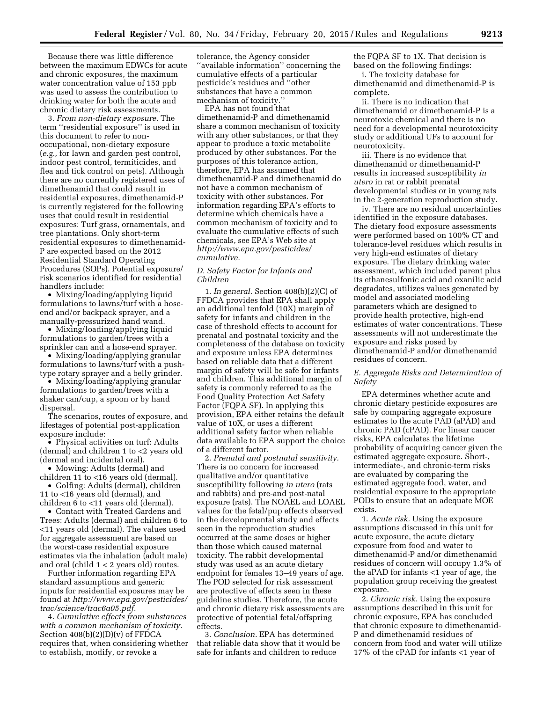Because there was little difference between the maximum EDWCs for acute and chronic exposures, the maximum water concentration value of 153 ppb was used to assess the contribution to drinking water for both the acute and chronic dietary risk assessments.

3. *From non-dietary exposure.* The term ''residential exposure'' is used in this document to refer to nonoccupational, non-dietary exposure (*e.g.,* for lawn and garden pest control, indoor pest control, termiticides, and flea and tick control on pets). Although there are no currently registered uses of dimethenamid that could result in residential exposures, dimethenamid-P is currently registered for the following uses that could result in residential exposures: Turf grass, ornamentals, and tree plantations. Only short-term residential exposures to dimethenamid-P are expected based on the 2012 Residential Standard Operating Procedures (SOPs). Potential exposure/ risk scenarios identified for residential handlers include:

• Mixing/loading/applying liquid formulations to lawns/turf with a hoseend and/or backpack sprayer, and a manually-pressurized hand wand.

• Mixing/loading/applying liquid formulations to garden/trees with a sprinkler can and a hose-end sprayer.

• Mixing/loading/applying granular formulations to lawns/turf with a pushtype rotary sprayer and a belly grinder.

• Mixing/loading/applying granular formulations to garden/trees with a shaker can/cup, a spoon or by hand dispersal.

The scenarios, routes of exposure, and lifestages of potential post-application exposure include:

• Physical activities on turf: Adults (dermal) and children 1 to <2 years old (dermal and incidental oral).

• Mowing: Adults (dermal) and children 11 to <16 years old (dermal).

• Golfing: Adults (dermal), children 11 to <16 years old (dermal), and children 6 to <11 years old (dermal).

• Contact with Treated Gardens and Trees: Adults (dermal) and children 6 to <11 years old (dermal). The values used for aggregate assessment are based on the worst-case residential exposure estimates via the inhalation (adult male) and oral (child 1 < 2 years old) routes.

Further information regarding EPA standard assumptions and generic inputs for residential exposures may be found at *[http://www.epa.gov/pesticides/](http://www.epa.gov/pesticides/trac/science/trac6a05.pdf) [trac/science/trac6a05.pdf.](http://www.epa.gov/pesticides/trac/science/trac6a05.pdf)* 

4. *Cumulative effects from substances with a common mechanism of toxicity.*  Section  $408(b)(2)(D)(v)$  of FFDCA requires that, when considering whether to establish, modify, or revoke a

tolerance, the Agency consider ''available information'' concerning the cumulative effects of a particular pesticide's residues and ''other substances that have a common mechanism of toxicity.''

EPA has not found that dimethenamid-P and dimethenamid share a common mechanism of toxicity with any other substances, or that they appear to produce a toxic metabolite produced by other substances. For the purposes of this tolerance action, therefore, EPA has assumed that dimethenamid-P and dimethenamid do not have a common mechanism of toxicity with other substances. For information regarding EPA's efforts to determine which chemicals have a common mechanism of toxicity and to evaluate the cumulative effects of such chemicals, see EPA's Web site at *[http://www.epa.gov/pesticides/](http://www.epa.gov/pesticides/cumulative) [cumulative.](http://www.epa.gov/pesticides/cumulative)* 

#### *D. Safety Factor for Infants and Children*

1. *In general.* Section 408(b)(2)(C) of FFDCA provides that EPA shall apply an additional tenfold (10X) margin of safety for infants and children in the case of threshold effects to account for prenatal and postnatal toxicity and the completeness of the database on toxicity and exposure unless EPA determines based on reliable data that a different margin of safety will be safe for infants and children. This additional margin of safety is commonly referred to as the Food Quality Protection Act Safety Factor (FQPA SF). In applying this provision, EPA either retains the default value of 10X, or uses a different additional safety factor when reliable data available to EPA support the choice of a different factor.

2. *Prenatal and postnatal sensitivity.*  There is no concern for increased qualitative and/or quantitative susceptibility following *in utero* (rats and rabbits) and pre-and post-natal exposure (rats). The NOAEL and LOAEL values for the fetal/pup effects observed in the developmental study and effects seen in the reproduction studies occurred at the same doses or higher than those which caused maternal toxicity. The rabbit developmental study was used as an acute dietary endpoint for females 13–49 years of age. The POD selected for risk assessment are protective of effects seen in these guideline studies. Therefore, the acute and chronic dietary risk assessments are protective of potential fetal/offspring effects.

3. *Conclusion.* EPA has determined that reliable data show that it would be safe for infants and children to reduce

the FQPA SF to 1X. That decision is based on the following findings:

i. The toxicity database for dimethenamid and dimethenamid-P is complete.

ii. There is no indication that dimethenamid or dimethenamid-P is a neurotoxic chemical and there is no need for a developmental neurotoxicity study or additional UFs to account for neurotoxicity.

iii. There is no evidence that dimethenamid or dimethenamid-P results in increased susceptibility *in utero* in rat or rabbit prenatal developmental studies or in young rats in the 2-generation reproduction study.

iv. There are no residual uncertainties identified in the exposure databases. The dietary food exposure assessments were performed based on 100% CT and tolerance-level residues which results in very high-end estimates of dietary exposure. The dietary drinking water assessment, which included parent plus its ethanesulfonic acid and oxanilic acid degradates, utilizes values generated by model and associated modeling parameters which are designed to provide health protective, high-end estimates of water concentrations. These assessments will not underestimate the exposure and risks posed by dimethenamid-P and/or dimethenamid residues of concern.

### *E. Aggregate Risks and Determination of Safety*

EPA determines whether acute and chronic dietary pesticide exposures are safe by comparing aggregate exposure estimates to the acute PAD (aPAD) and chronic PAD (cPAD). For linear cancer risks, EPA calculates the lifetime probability of acquiring cancer given the estimated aggregate exposure. Short-, intermediate-, and chronic-term risks are evaluated by comparing the estimated aggregate food, water, and residential exposure to the appropriate PODs to ensure that an adequate MOE exists.

1. *Acute risk.* Using the exposure assumptions discussed in this unit for acute exposure, the acute dietary exposure from food and water to dimethenamid-P and/or dimethenamid residues of concern will occupy 1.3% of the aPAD for infants <1 year of age, the population group receiving the greatest exposure.

2. *Chronic risk.* Using the exposure assumptions described in this unit for chronic exposure, EPA has concluded that chronic exposure to dimethenamid-P and dimethenamid residues of concern from food and water will utilize 17% of the cPAD for infants <1 year of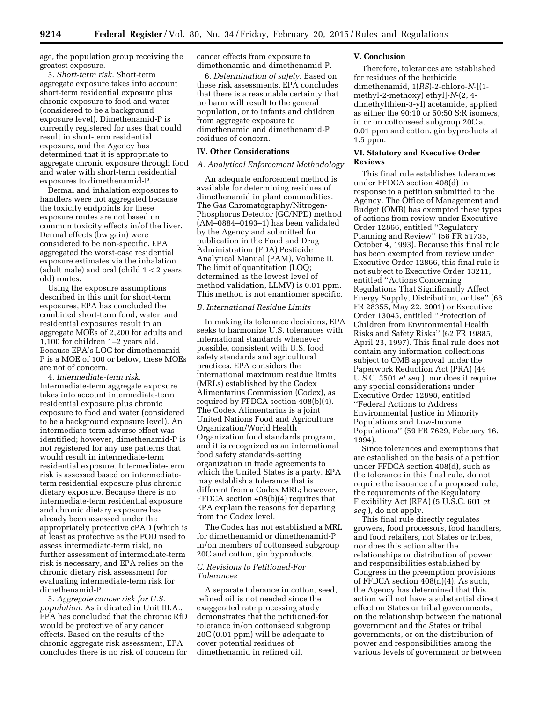age, the population group receiving the greatest exposure.

3. *Short-term risk.* Short-term aggregate exposure takes into account short-term residential exposure plus chronic exposure to food and water (considered to be a background exposure level). Dimethenamid-P is currently registered for uses that could result in short-term residential exposure, and the Agency has determined that it is appropriate to aggregate chronic exposure through food and water with short-term residential exposures to dimethenamid-P.

Dermal and inhalation exposures to handlers were not aggregated because the toxicity endpoints for these exposure routes are not based on common toxicity effects in/of the liver. Dermal effects (bw gain) were considered to be non-specific. EPA aggregated the worst-case residential exposure estimates via the inhalation (adult male) and oral (child 1 < 2 years old) routes.

Using the exposure assumptions described in this unit for short-term exposures, EPA has concluded the combined short-term food, water, and residential exposures result in an aggregate MOEs of 2,200 for adults and 1,100 for children 1–2 years old. Because EPA's LOC for dimethenamid-P is a MOE of 100 or below, these MOEs are not of concern.

4. *Intermediate-term risk.*  Intermediate-term aggregate exposure takes into account intermediate-term residential exposure plus chronic exposure to food and water (considered to be a background exposure level). An intermediate-term adverse effect was identified; however, dimethenamid-P is not registered for any use patterns that would result in intermediate-term residential exposure. Intermediate-term risk is assessed based on intermediateterm residential exposure plus chronic dietary exposure. Because there is no intermediate-term residential exposure and chronic dietary exposure has already been assessed under the appropriately protective cPAD (which is at least as protective as the POD used to assess intermediate-term risk), no further assessment of intermediate-term risk is necessary, and EPA relies on the chronic dietary risk assessment for evaluating intermediate-term risk for dimethenamid-P.

5. *Aggregate cancer risk for U.S. population.* As indicated in Unit III.A., EPA has concluded that the chronic RfD would be protective of any cancer effects. Based on the results of the chronic aggregate risk assessment, EPA concludes there is no risk of concern for

cancer effects from exposure to dimethenamid and dimethenamid-P.

6. *Determination of safety.* Based on these risk assessments, EPA concludes that there is a reasonable certainty that no harm will result to the general population, or to infants and children from aggregate exposure to dimethenamid and dimethenamid-P residues of concern.

## **IV. Other Considerations**

## *A. Analytical Enforcement Methodology*

An adequate enforcement method is available for determining residues of dimethenamid in plant commodities. The Gas Chromatography/Nitrogen-Phosphorus Detector (GC/NPD) method (AM–0884–0193–1) has been validated by the Agency and submitted for publication in the Food and Drug Administration (FDA) Pesticide Analytical Manual (PAM), Volume II. The limit of quantitation (LOQ; determined as the lowest level of method validation, LLMV) is 0.01 ppm. This method is not enantiomer specific.

#### *B. International Residue Limits*

In making its tolerance decisions, EPA seeks to harmonize U.S. tolerances with international standards whenever possible, consistent with U.S. food safety standards and agricultural practices. EPA considers the international maximum residue limits (MRLs) established by the Codex Alimentarius Commission (Codex), as required by FFDCA section 408(b)(4). The Codex Alimentarius is a joint United Nations Food and Agriculture Organization/World Health Organization food standards program, and it is recognized as an international food safety standards-setting organization in trade agreements to which the United States is a party. EPA may establish a tolerance that is different from a Codex MRL; however, FFDCA section 408(b)(4) requires that EPA explain the reasons for departing from the Codex level.

The Codex has not established a MRL for dimethenamid or dimethenamid-P in/on members of cottonseed subgroup 20C and cotton, gin byproducts.

### *C. Revisions to Petitioned-For Tolerances*

A separate tolerance in cotton, seed, refined oil is not needed since the exaggerated rate processing study demonstrates that the petitioned-for tolerance in/on cottonseed subgroup 20C (0.01 ppm) will be adequate to cover potential residues of dimethenamid in refined oil.

#### **V. Conclusion**

Therefore, tolerances are established for residues of the herbicide dimethenamid, 1(*RS*)-2-chloro-*N*-[(1 methyl-2-methoxy) ethyl]-*N*-(2, 4 dimethylthien-3-yl) acetamide, applied as either the 90:10 or 50:50 S:R isomers, in or on cottonseed subgroup 20C at 0.01 ppm and cotton, gin byproducts at 1.5 ppm.

## **VI. Statutory and Executive Order Reviews**

This final rule establishes tolerances under FFDCA section 408(d) in response to a petition submitted to the Agency. The Office of Management and Budget (OMB) has exempted these types of actions from review under Executive Order 12866, entitled ''Regulatory Planning and Review'' (58 FR 51735, October 4, 1993). Because this final rule has been exempted from review under Executive Order 12866, this final rule is not subject to Executive Order 13211, entitled ''Actions Concerning Regulations That Significantly Affect Energy Supply, Distribution, or Use'' (66 FR 28355, May 22, 2001) or Executive Order 13045, entitled ''Protection of Children from Environmental Health Risks and Safety Risks'' (62 FR 19885, April 23, 1997). This final rule does not contain any information collections subject to OMB approval under the Paperwork Reduction Act (PRA) (44 U.S.C. 3501 *et seq.*), nor does it require any special considerations under Executive Order 12898, entitled ''Federal Actions to Address Environmental Justice in Minority Populations and Low-Income Populations'' (59 FR 7629, February 16, 1994).

Since tolerances and exemptions that are established on the basis of a petition under FFDCA section 408(d), such as the tolerance in this final rule, do not require the issuance of a proposed rule, the requirements of the Regulatory Flexibility Act (RFA) (5 U.S.C. 601 *et seq.*), do not apply.

This final rule directly regulates growers, food processors, food handlers, and food retailers, not States or tribes, nor does this action alter the relationships or distribution of power and responsibilities established by Congress in the preemption provisions of FFDCA section 408(n)(4). As such, the Agency has determined that this action will not have a substantial direct effect on States or tribal governments, on the relationship between the national government and the States or tribal governments, or on the distribution of power and responsibilities among the various levels of government or between